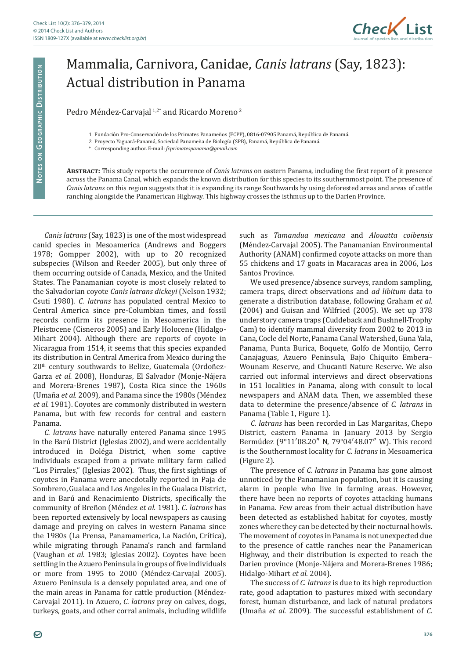

## Mammalia, Carnivora, Canidae, *Canis latrans* (Say, 1823): Actual distribution in Panama

Pedro Méndez-Carvajal<sup>1,2\*</sup> and Ricardo Moreno<sup>2</sup>

1 Fundación Pro-Conservación de los Primates Panameños (FCPP), 0816-07905 Panamá, República de Panamá.

2 Proyecto Yaguará-Panamá, Sociedad Panameña de Biología (SPB), Panamá, República de Panamá.

\* Corresponding author. E-mail: *fcprimatespanama@gmail.com*

**Abstract:** This study reports the occurrence of *Canis latrans* on eastern Panama, including the first report of it presence across the Panama Canal, which expands the known distribution for this species to its southernmost point. The presence of *Canis latrans* on this region suggests that it is expanding its range Southwards by using deforested areas and areas of cattle ranching alongside the Panamerican Highway. This highway crosses the isthmus up to the Darien Province.

*Canis latrans* (Say, 1823) is one of the most widespread canid species in Mesoamerica (Andrews and Boggers 1978; Gompper 2002), with up to 20 recognized subspecies (Wilson and Reeder 2005), but only three of them occurring outside of Canada, Mexico, and the United States. The Panamanian coyote is most closely related to the Salvadorian coyote *Canis latrans dickeyi* (Nelson 1932; Csuti 1980). *C. latrans* has populated central Mexico to Central America since pre-Columbian times, and fossil records confirm its presence in Mesoamerica in the Pleistocene (Cisneros 2005) and Early Holocene (Hidalgo-Mihart 2004). Although there are reports of coyote in Nicaragua from 1514, it seems that this species expanded its distribution in Central America from Mexico during the 20<sup>th</sup> century southwards to Belize, Guatemala (Ordoñez-Garza *et al.* 2008), Honduras, El Salvador (Monje-Nájera and Morera-Brenes 1987), Costa Rica since the 1960s (Umaña *et al.* 2009), and Panama since the 1980s (Méndez *et al.* 1981). Coyotes are commonly distributed in western Panama, but with few records for central and eastern Panama.

*C. latrans* have naturally entered Panama since 1995 in the Barú District (Iglesias 2002), and were accidentally introduced in Doléga District, when some captive individuals escaped from a private military farm called "Los Pirrales," (Iglesias 2002). Thus, the first sightings of coyotes in Panama were anecdotally reported in Paja de Sombrero, Gualaca and Los Angeles in the Gualaca District, and in Barú and Renacimiento Districts, specifically the community of Breñon (Méndez *et al.* 1981). *C. latrans* has been reported extensively by local newspapers as causing damage and preying on calves in western Panama since the 1980s (La Prensa, Panamamerica, La Nación, Crítica), while migrating through Panama's ranch and farmland (Vaughan *et al.* 1983; Iglesias 2002). Coyotes have been settling in the Azuero Peninsula in groups of five individuals or more from 1995 to 2000 (Méndez-Carvajal 2005). Azuero Peninsula is a densely populated area, and one of the main areas in Panama for cattle production (Méndez-Carvajal 2011). In Azuero, *C. latrans* prey on calves, dogs, turkeys, goats, and other corral animals, including wildlife such as *Tamandua mexicana* and *Alouatta coibensis*  (Méndez-Carvajal 2005). The Panamanian Environmental Authority (ANAM) confirmed coyote attacks on more than 55 chickens and 17 goats in Macaracas area in 2006, Los Santos Province.

We used presence/absence surveys, random sampling, camera traps, direct observations and *ad libitum* data to generate a distribution database, following Graham *et al.*  (2004) and Guisan and Wilfried (2005). We set up 378 understory camera traps (Cuddeback and Bushnell-Trophy Cam) to identify mammal diversity from 2002 to 2013 in Cana, Cocle del Norte, Panama Canal Watershed, Guna Yala, Panama, Punta Burica, Boquete, Golfo de Montijo, Cerro Canajaguas, Azuero Peninsula, Bajo Chiquito Embera– Wounam Reserve, and Chucanti Nature Reserve. We also carried out informal interviews and direct observations in 151 localities in Panama, along with consult to local newspapers and ANAM data. Then, we assembled these data to determine the presence/absence of *C. latrans* in Panama (Table 1, Figure 1).

*C. latrans* has been recorded in Las Margaritas, Chepo District, eastern Panama in January 2013 by Sergio Bermúdez (9°11′08.20″ N, 79°04′48.07″ W). This record is the Southernmost locality for *C. latrans* in Mesoamerica (Figure 2).

The presence of *C. latrans* in Panama has gone almost unnoticed by the Panamanian population, but it is causing alarm in people who live in farming areas. However, there have been no reports of coyotes attacking humans in Panama. Few areas from their actual distribution have been detected as established habitat for coyotes, mostly zones where they can be detected by their nocturnal howls. The movement of coyotes in Panama is not unexpected due to the presence of cattle ranches near the Panamerican Highway, and their distribution is expected to reach the Darien province (Monje-Nájera and Morera-Brenes 1986; Hidalgo-Mihart *et al.* 2004).

The success of *C. latrans* is due to its high reproduction rate, good adaptation to pastures mixed with secondary forest, human disturbance, and lack of natural predators (Umaña *et al.* 2009). The successful establishment of *C.*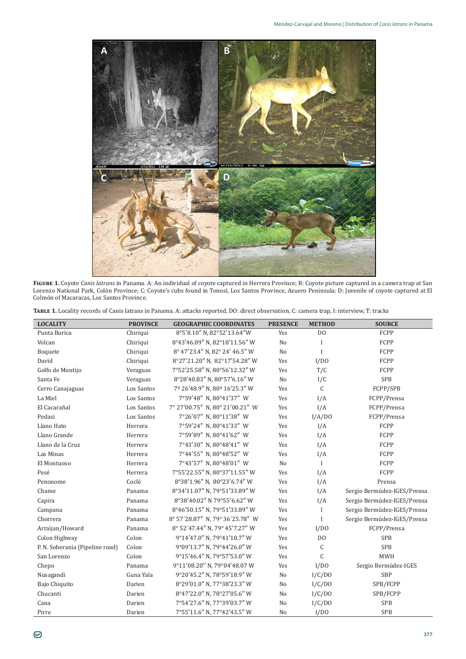

**Figure 1.** Coyote *Canis latrans* in Panama. A: An individual of coyote captured in Herrera Province; B: Coyote picture captured in a camera trap at San Lorenzo National Park, Colón Province; C: Coyote's cubs found in Tonosí, Los Santos Province, Azuero Peninsula; D: Juvenile of coyote captured at El Colmón of Macaracas, Los Santos Province.

| TABLE 1. Locality records of Canis latrans in Panama. A: attacks reported, DO: direct observation, C: camera trap, I: interview, T: tracks |  |
|--------------------------------------------------------------------------------------------------------------------------------------------|--|
|--------------------------------------------------------------------------------------------------------------------------------------------|--|

| <b>LOCALITY</b>                 | <b>PROVINCE</b> | <b>GEOGRAPHIC COORDINATES</b>   | <b>PRESENCE</b> | <b>METHOD</b>  | <b>SOURCE</b>               |
|---------------------------------|-----------------|---------------------------------|-----------------|----------------|-----------------------------|
| Punta Burica                    | Chiriqui        | 8°5'8.10" N, 82°52'13.64"W      | <b>Yes</b>      | D <sub>O</sub> | FCPP                        |
| Volcan                          | Chiriqui        | 8°43'46.09" N, 82°18'11.56" W   | No              | I              | FCPP                        |
| Boquete                         | Chiriqui        | 8° 47'23.4" N, 82° 24' 46.5" W  | No              | I              | FCPP                        |
| David                           | Chiriqui        | 8°27'21.20" N, 82°17'54.28" W   | Yes             | I/DO           | FCPP                        |
| Golfo de Montijo                | Veraguas        | 7°52'25.58" N, 80°56'12.32" W   | Yes             | T/C            | FCPP                        |
| Santa Fe                        | Veraguas        | 8°28'40.83" N, 80°57'6.16" W    | No              | I/C            | <b>SPB</b>                  |
| Cerro Canajaguas                | Los Santos      | 7º 26'48.9" N, 80º 16'25.3" W   | Yes             | $\mathcal{C}$  | FCPP/SPB                    |
| La Miel                         | Los Santos      | 7°59'48" N. 80°41'37" W         | Yes             | I/A            | FCPP/Prensa                 |
| El Cacarañal                    | Los Santos      | 7° 27'00.75" N, 80° 21'00.21" W | Yes             | I/A            | FCPP/Prensa                 |
| Pedasi                          | Los Santos      | 7°26'07" N, 80°11'38" W         | Yes             | I/A/DO         | FCPP/Prensa                 |
| Llano Hato                      | Herrera         | 7°59'24" N.80°41'33" W          | Yes             | I/A            | FCPP                        |
| Llano Grande                    | Herrera         | 7°59'89" N, 80°41'62" W         | Yes             | I/A            | FCPP                        |
| Llano de la Cruz                | Herrera         | 7°43'30" N, 80°48'41" W         | Yes             | I/A            | FCPP                        |
| Las Minas                       | Herrera         | 7°44'55" N. 80°48'52" W         | Yes             | I/A            | FCPP                        |
| El Montuoso                     | Herrera         | 7°43'57" N, 80°48'01" W         | N <sub>o</sub>  | $\mathbf I$    | FCPP                        |
| Pesé                            | Herrera         | 7°55'22.55" N, 80°37'11.55" W   | Yes             | I/A            | FCPP                        |
| Penonome                        | Coclé           | 8°38'1.96" N, 80°23'6.74" W     | Yes             | I/A            | Prensa                      |
| Chame                           | Panama          | 8°34'11.07" N, 79°51'33.89" W   | Yes             | I/A            | Sergio Bermúdez-IGES/Prensa |
| Capira                          | Panama          | 8°38'40.02" N 79°55'6.62" W     | Yes             | I/A            | Sergio Bermúdez-IGES/Prensa |
| Campana                         | Panama          | 8°46'50.15" N, 79°51'33.89" W   | Yes             | I              | Sergio Bermúdez-IGES/Prensa |
| Chorrera                        | Panama          | 8° 57'28.87" N, 79° 36'25.78" W | Yes             | I              | Sergio Bermúdez-IGES/Prensa |
| Arraijan/Howard                 | Panama          | 8° 52'47.44" N, 79° 45'7.27" W  | Yes             | I/DO           | FCPP/Prensa                 |
| Colon Highway                   | Colon           | 9°14'47.0" N, 79°41'10.7" W     | Yes             | D <sub>0</sub> | <b>SPB</b>                  |
| P. N. Soberania (Pipeline road) | Colon           | 9°09'13.7" N, 79°44'26.0" W     | Yes             | C              | <b>SPB</b>                  |
| San Lorenzo                     | Colon           | 9°15'46.4" N, 79°57'53.0" W     | Yes             | $\mathcal{C}$  | <b>MWH</b>                  |
| Chepo                           | Panama          | 9°11'08.20" N, 79°04'48.07 W    | Yes             | I/DO           | Sergio Bermúdez-IGES        |
| Nusagandi                       | Guna Yala       | 9°20'45.2" N, 78°59'18.9" W     | No              | I/C/DO         | SBP                         |
| Bajo Chiquito                   | Darien          | 8°29'01.0" N, 77°38'23.3" W     | No              | I/C/DO         | SPB/FCPP                    |
| Chucanti                        | Darien          | 8°47'22.0" N, 78°27'05.6" W     | No              | I/C/DO         | SPB/FCPP                    |
| Cana                            | Darien          | 7°54'27.6" N, 77°39'03.7" W     | No              | I/C/DO         | <b>SPB</b>                  |
| Pirre                           | Darien          | 7°55'11.6" N, 77°42'43.5" W     | No              | I/DO           | <b>SPB</b>                  |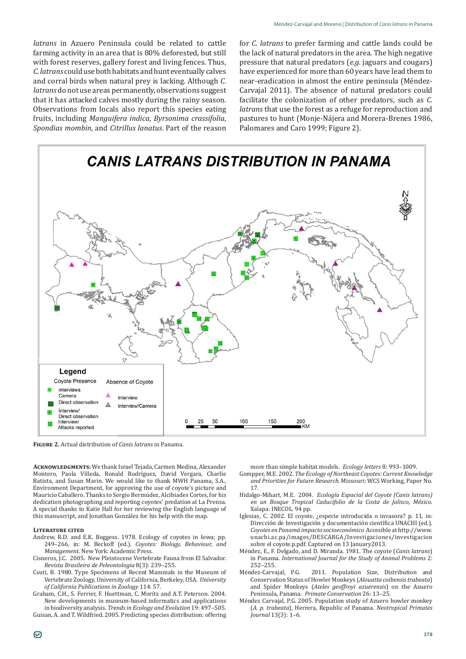*latrans* in Azuero Peninsula could be related to cattle farming activity in an area that is 80% deforested, but still with forest reserves, gallery forest and living fences. Thus, *C. latrans* could use both habitats and hunt eventually calves and corral birds when natural prey is lacking. Although *C. latrans* do not use areas permanently, observations suggest that it has attacked calves mostly during the rainy season. Observations from locals also report this species eating fruits, including *Manguifera indica*, *Byrsonima crassifolia*, *Spondias mombin*, and *Citrillus lanatus*. Part of the reason

for *C. latrans* to prefer farming and cattle lands could be the lack of natural predators in the area. The high negative pressure that natural predators (*e.g.* jaguars and cougars) have experienced for more than 60 years have lead them to near-eradication in almost the entire peninsula (Méndez-Carvajal 2011). The absence of natural predators could facilitate the colonization of other predators, such as *C. latrans* that use the forest as a refuge for reproduction and pastures to hunt (Monje-Nájera and Morera-Brenes 1986, Palomares and Caro 1999; Figure 2).



**Figure 2.** Actual distribution of *Canis latrans* in Panama.

**Acknowledgments:** We thank Israel Tejada, Carmen Medina, Alexander Montero, Paola Villeda, Ronald Rodríguez, David Vergara, Charlie Batista, and Susan Marin. We would like to thank MWH Panama, S.A., Environment Department, for approving the use of coyote's picture and Mauricio Caballero. Thanks to Sergio Bermúdez, Alcibiades Cortes, for his dedication photographing and reporting coyotes' predation at La Prensa. A special thanks to Katie Hall for her reviewing the English language of this manuscript, and Jonathan González for his help with the map.

## **Literature cited**

- Andrew, R.D. and E.K. Boggess. 1978. Ecology of coyotes in Iowa; pp. 249–266, in: M. Beckoff (ed.). *Coyotes: Biology, Behaviour, and Management*. New York: Academic Press.
- Cisneros, J.C. 2005. New Pleistocene Vertebrate Fauna from El Salvador. *Revista Brasileira de Peleontologia* 8(3): 239–255.
- Csuti, B. 1980. Type Specimens of Recent Mammals in the Museum of Vertebrate Zoology, University of California, Berkeley, USA. *University of California Publications in Zoology* 114: 57.
- Graham, C.H., S. Ferrier, F. Huettman, C. Moritz and A.T. Peterson. 2004. New developments in museum-based informatics and applications in biodiversity analysis. *Trends in Ecology and Evolution* 19: 497–505.
- Guisan, A. and T. Wildfried. 2005. Predicting species distribution: offering

more than simple habitat models. *Ecology letters* 8: 993–1009.

- Gompper, M.E. 2002. *The Ecology of Northeast Coyotes: Current Knowledge and Priorities for Future Research*. Missouri: WCS Working, Paper No. 17.
- Hidalgo-Mihart, M.E. 2004. *Ecología Espacial del Coyote (Canis latrans) en un Bosque Tropical Caducifolio de la Costa de Jalisco, México*. Xalapa: INECOL. 94 pp.
- Iglesias, C. 2002. El coyote, ¿especie introducida o invasora? p. 11, in: Dirección de Investigación y documentación científica UNACHI (ed.). *Coyotes en Panamá impacto socioeconómico* Accesible at http://www. unachi.ac.pa/images/DESCARGA/Investigaciones/investigacion sobre el coyote.p.pdf. Captured on 13 January2013.
- Méndez, E., F. Delgado, and D. Miranda. 1981. The coyote (*Canis latrans*) in Panama. *International Journal for the Study of Animal Problems* 2: 252–255.<br>Méndez-Carvajal, P.G.
- 2011. Population Size, Distribution and Conservation Status of Howler Monkeys (*Alouatta coibensis trabeata*) and Spider Monkeys (*Ateles geoffroyi azuerensis*) on the Azuero Peninsula, Panama. *Primate Conservation* 26: 13–25.
- Méndez Carvajal, P.G. 2005. Population study of Azuero howler monkey (*A. p. trabeata*), Herrera, Republic of Panama. *Neotropical Primates Journal* 13(3): 1–6.